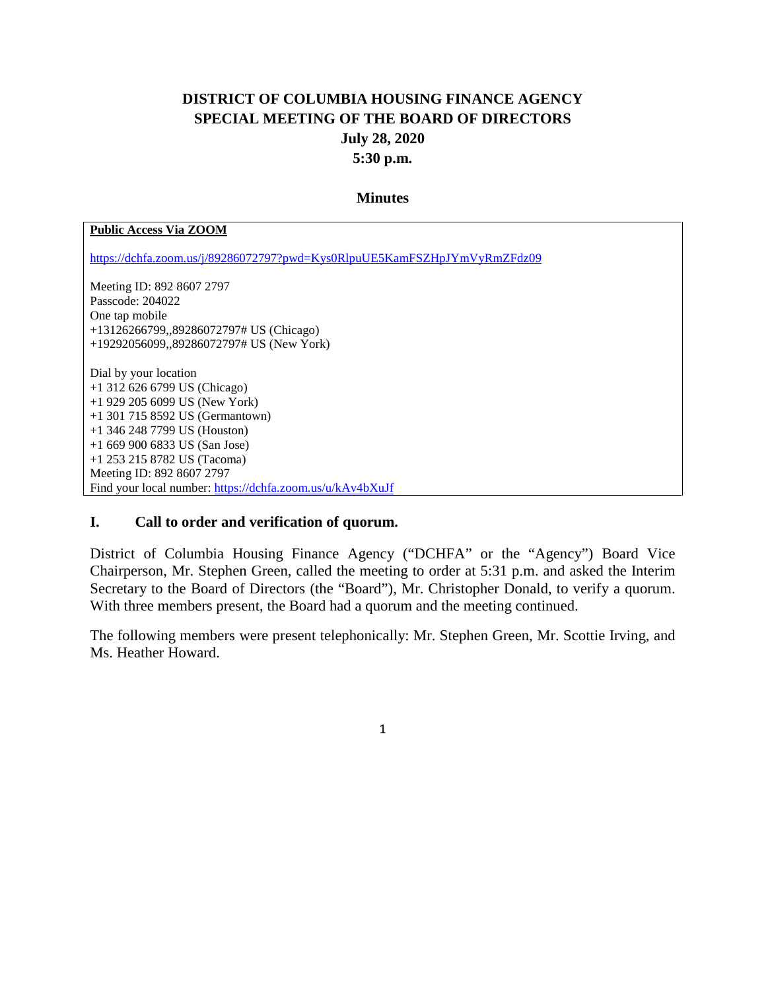# **DISTRICT OF COLUMBIA HOUSING FINANCE AGENCY SPECIAL MEETING OF THE BOARD OF DIRECTORS July 28, 2020 5:30 p.m.**

#### **Minutes**

#### **Public Access Via ZOOM**

<https://dchfa.zoom.us/j/89286072797?pwd=Kys0RlpuUE5KamFSZHpJYmVyRmZFdz09>

Meeting ID: 892 8607 2797 Passcode: 204022 One tap mobile +13126266799,,89286072797# US (Chicago) +19292056099,,89286072797# US (New York)

Dial by your location +1 312 626 6799 US (Chicago) +1 929 205 6099 US (New York) +1 301 715 8592 US (Germantown) +1 346 248 7799 US (Houston) +1 669 900 6833 US (San Jose) +1 253 215 8782 US (Tacoma) Meeting ID: 892 8607 2797 Find your local number:<https://dchfa.zoom.us/u/kAv4bXuJf>

#### **I. Call to order and verification of quorum.**

District of Columbia Housing Finance Agency ("DCHFA" or the "Agency") Board Vice Chairperson, Mr. Stephen Green, called the meeting to order at 5:31 p.m. and asked the Interim Secretary to the Board of Directors (the "Board"), Mr. Christopher Donald, to verify a quorum. With three members present, the Board had a quorum and the meeting continued.

The following members were present telephonically: Mr. Stephen Green, Mr. Scottie Irving, and Ms. Heather Howard.

1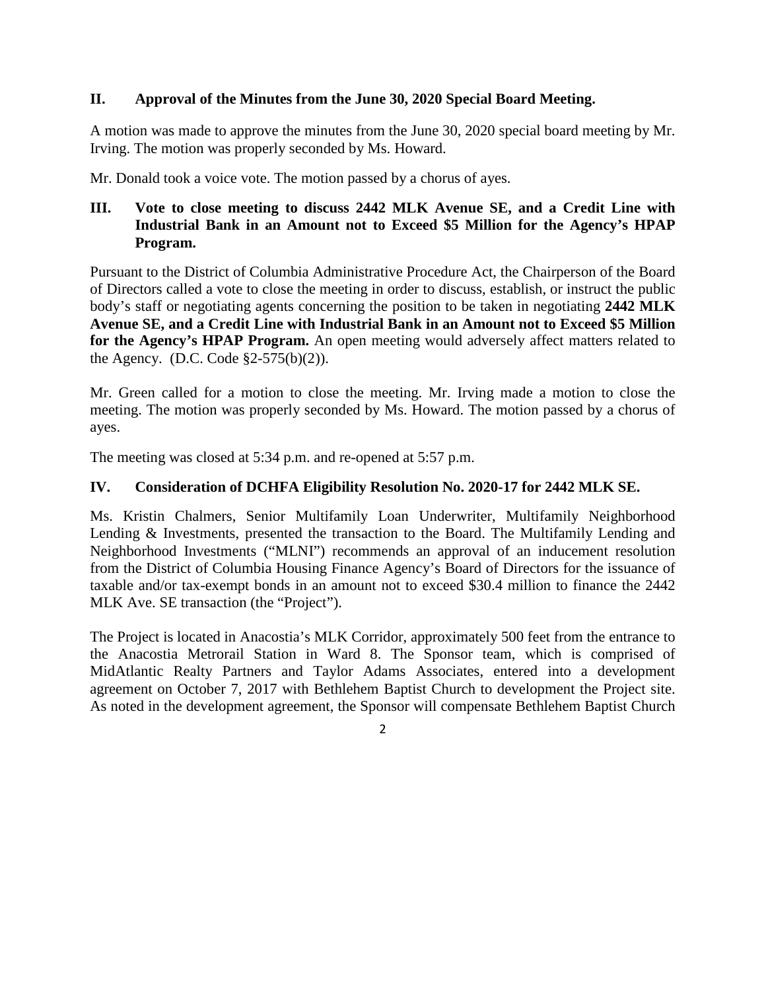### **II. Approval of the Minutes from the June 30, 2020 Special Board Meeting.**

A motion was made to approve the minutes from the June 30, 2020 special board meeting by Mr. Irving. The motion was properly seconded by Ms. Howard.

Mr. Donald took a voice vote. The motion passed by a chorus of ayes.

### **III. Vote to close meeting to discuss 2442 MLK Avenue SE, and a Credit Line with Industrial Bank in an Amount not to Exceed \$5 Million for the Agency's HPAP Program.**

Pursuant to the District of Columbia Administrative Procedure Act, the Chairperson of the Board of Directors called a vote to close the meeting in order to discuss, establish, or instruct the public body's staff or negotiating agents concerning the position to be taken in negotiating **2442 MLK Avenue SE, and a Credit Line with Industrial Bank in an Amount not to Exceed \$5 Million for the Agency's HPAP Program.** An open meeting would adversely affect matters related to the Agency. (D.C. Code  $\S2-575(b)(2)$ ).

Mr. Green called for a motion to close the meeting. Mr. Irving made a motion to close the meeting. The motion was properly seconded by Ms. Howard. The motion passed by a chorus of ayes.

The meeting was closed at 5:34 p.m. and re-opened at 5:57 p.m.

### **IV. Consideration of DCHFA Eligibility Resolution No. 2020-17 for 2442 MLK SE.**

Ms. Kristin Chalmers, Senior Multifamily Loan Underwriter, Multifamily Neighborhood Lending & Investments, presented the transaction to the Board. The Multifamily Lending and Neighborhood Investments ("MLNI") recommends an approval of an inducement resolution from the District of Columbia Housing Finance Agency's Board of Directors for the issuance of taxable and/or tax-exempt bonds in an amount not to exceed \$30.4 million to finance the 2442 MLK Ave. SE transaction (the "Project").

The Project is located in Anacostia's MLK Corridor, approximately 500 feet from the entrance to the Anacostia Metrorail Station in Ward 8. The Sponsor team, which is comprised of MidAtlantic Realty Partners and Taylor Adams Associates, entered into a development agreement on October 7, 2017 with Bethlehem Baptist Church to development the Project site. As noted in the development agreement, the Sponsor will compensate Bethlehem Baptist Church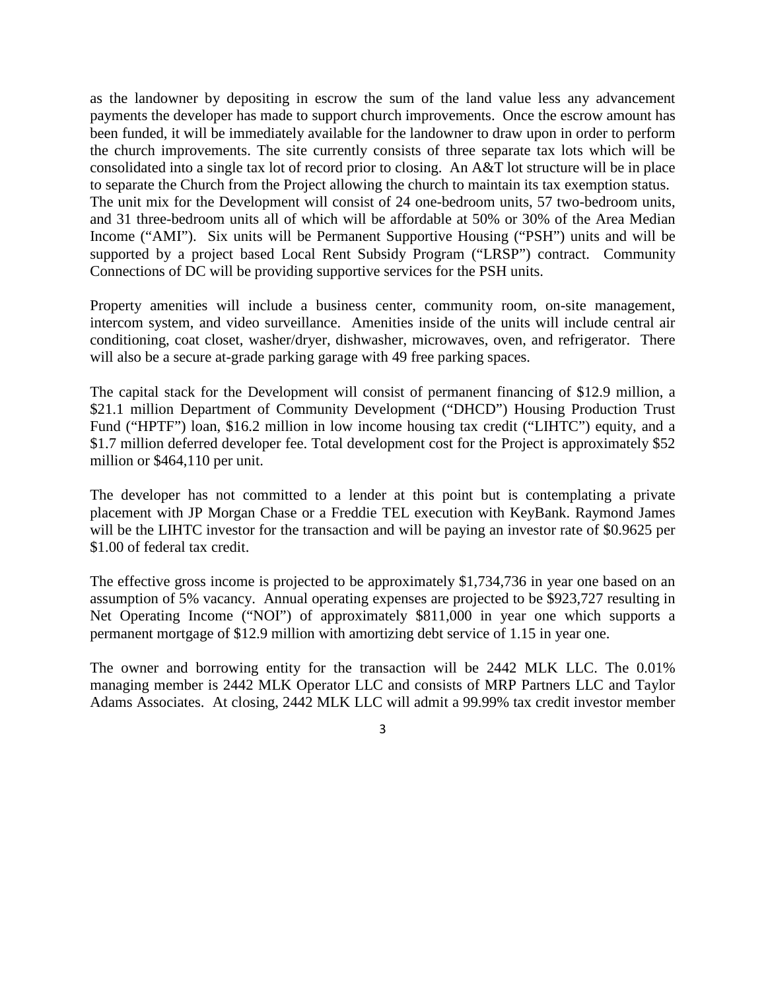as the landowner by depositing in escrow the sum of the land value less any advancement payments the developer has made to support church improvements. Once the escrow amount has been funded, it will be immediately available for the landowner to draw upon in order to perform the church improvements. The site currently consists of three separate tax lots which will be consolidated into a single tax lot of record prior to closing. An A&T lot structure will be in place to separate the Church from the Project allowing the church to maintain its tax exemption status. The unit mix for the Development will consist of 24 one-bedroom units, 57 two-bedroom units, and 31 three-bedroom units all of which will be affordable at 50% or 30% of the Area Median Income ("AMI"). Six units will be Permanent Supportive Housing ("PSH") units and will be supported by a project based Local Rent Subsidy Program ("LRSP") contract. Community Connections of DC will be providing supportive services for the PSH units.

Property amenities will include a business center, community room, on-site management, intercom system, and video surveillance. Amenities inside of the units will include central air conditioning, coat closet, washer/dryer, dishwasher, microwaves, oven, and refrigerator. There will also be a secure at-grade parking garage with 49 free parking spaces.

The capital stack for the Development will consist of permanent financing of \$12.9 million, a \$21.1 million Department of Community Development ("DHCD") Housing Production Trust Fund ("HPTF") loan, \$16.2 million in low income housing tax credit ("LIHTC") equity, and a \$1.7 million deferred developer fee. Total development cost for the Project is approximately \$52 million or \$464,110 per unit.

The developer has not committed to a lender at this point but is contemplating a private placement with JP Morgan Chase or a Freddie TEL execution with KeyBank. Raymond James will be the LIHTC investor for the transaction and will be paying an investor rate of \$0.9625 per \$1.00 of federal tax credit.

The effective gross income is projected to be approximately \$1,734,736 in year one based on an assumption of 5% vacancy. Annual operating expenses are projected to be \$923,727 resulting in Net Operating Income ("NOI") of approximately \$811,000 in year one which supports a permanent mortgage of \$12.9 million with amortizing debt service of 1.15 in year one.

The owner and borrowing entity for the transaction will be 2442 MLK LLC. The 0.01% managing member is 2442 MLK Operator LLC and consists of MRP Partners LLC and Taylor Adams Associates. At closing, 2442 MLK LLC will admit a 99.99% tax credit investor member

<sup>3</sup>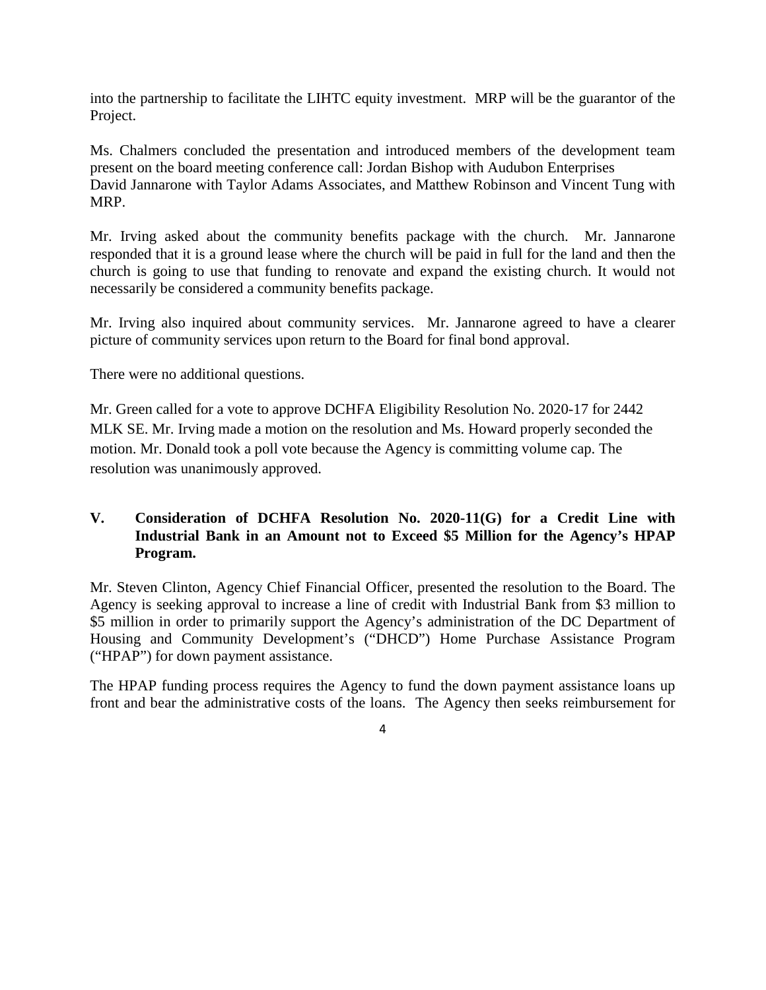into the partnership to facilitate the LIHTC equity investment. MRP will be the guarantor of the Project.

Ms. Chalmers concluded the presentation and introduced members of the development team present on the board meeting conference call: Jordan Bishop with Audubon Enterprises David Jannarone with Taylor Adams Associates, and Matthew Robinson and Vincent Tung with MRP.

Mr. Irving asked about the community benefits package with the church. Mr. Jannarone responded that it is a ground lease where the church will be paid in full for the land and then the church is going to use that funding to renovate and expand the existing church. It would not necessarily be considered a community benefits package.

Mr. Irving also inquired about community services. Mr. Jannarone agreed to have a clearer picture of community services upon return to the Board for final bond approval.

There were no additional questions.

Mr. Green called for a vote to approve DCHFA Eligibility Resolution No. 2020-17 for 2442 MLK SE. Mr. Irving made a motion on the resolution and Ms. Howard properly seconded the motion. Mr. Donald took a poll vote because the Agency is committing volume cap. The resolution was unanimously approved.

# **V. Consideration of DCHFA Resolution No. 2020-11(G) for a Credit Line with Industrial Bank in an Amount not to Exceed \$5 Million for the Agency's HPAP Program.**

Mr. Steven Clinton, Agency Chief Financial Officer, presented the resolution to the Board. The Agency is seeking approval to increase a line of credit with Industrial Bank from \$3 million to \$5 million in order to primarily support the Agency's administration of the DC Department of Housing and Community Development's ("DHCD") Home Purchase Assistance Program ("HPAP") for down payment assistance.

The HPAP funding process requires the Agency to fund the down payment assistance loans up front and bear the administrative costs of the loans. The Agency then seeks reimbursement for

<sup>4</sup>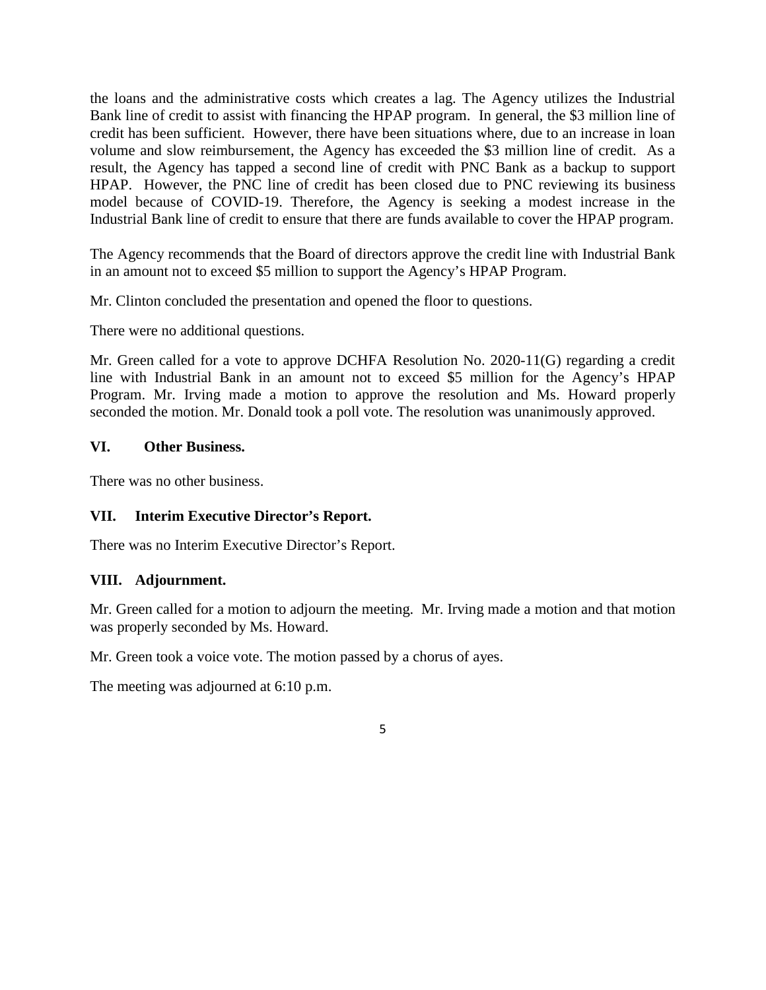the loans and the administrative costs which creates a lag. The Agency utilizes the Industrial Bank line of credit to assist with financing the HPAP program. In general, the \$3 million line of credit has been sufficient. However, there have been situations where, due to an increase in loan volume and slow reimbursement, the Agency has exceeded the \$3 million line of credit. As a result, the Agency has tapped a second line of credit with PNC Bank as a backup to support HPAP. However, the PNC line of credit has been closed due to PNC reviewing its business model because of COVID-19. Therefore, the Agency is seeking a modest increase in the Industrial Bank line of credit to ensure that there are funds available to cover the HPAP program.

The Agency recommends that the Board of directors approve the credit line with Industrial Bank in an amount not to exceed \$5 million to support the Agency's HPAP Program.

Mr. Clinton concluded the presentation and opened the floor to questions.

There were no additional questions.

Mr. Green called for a vote to approve DCHFA Resolution No. 2020-11(G) regarding a credit line with Industrial Bank in an amount not to exceed \$5 million for the Agency's HPAP Program. Mr. Irving made a motion to approve the resolution and Ms. Howard properly seconded the motion. Mr. Donald took a poll vote. The resolution was unanimously approved.

### **VI. Other Business.**

There was no other business.

## **VII. Interim Executive Director's Report.**

There was no Interim Executive Director's Report.

#### **VIII. Adjournment.**

Mr. Green called for a motion to adjourn the meeting. Mr. Irving made a motion and that motion was properly seconded by Ms. Howard.

Mr. Green took a voice vote. The motion passed by a chorus of ayes.

The meeting was adjourned at 6:10 p.m.